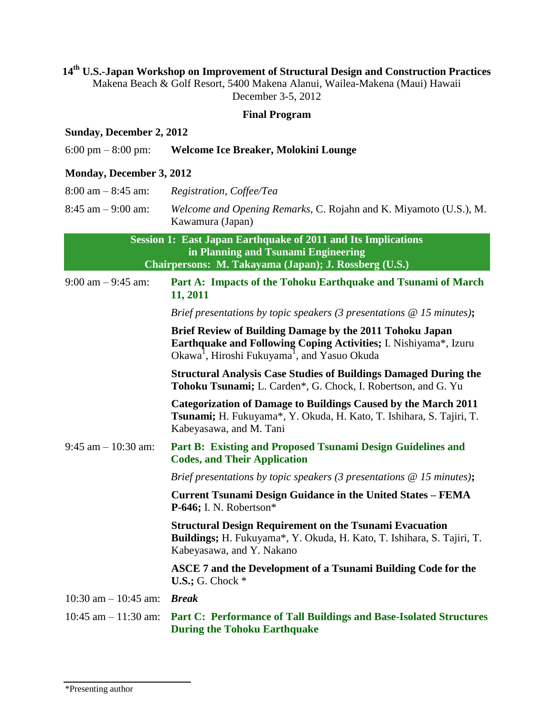### **14 th U.S.-Japan Workshop on Improvement of Structural Design and Construction Practices**

Makena Beach & Golf Resort, 5400 Makena Alanui, Wailea-Makena (Maui) Hawaii December 3-5, 2012

#### **Final Program**

#### **Sunday, December 2, 2012**

|  | $6:00 \text{ pm} - 8:00 \text{ pm}$ | Welcome Ice Breaker, Molokini Lounge |
|--|-------------------------------------|--------------------------------------|
|--|-------------------------------------|--------------------------------------|

#### **Monday, December 3, 2012**

8:45 am – 9:00 am: *Welcome and Opening Remarks,* C. Rojahn and K. Miyamoto (U.S.), M. Kawamura (Japan)

> **Session 1: East Japan Earthquake of 2011 and Its Implications in Planning and Tsunami Engineering Chairpersons: M. Takayama (Japan); J. Rossberg (U.S.)**

9:00 am – 9:45 am: **Part A: Impacts of the Tohoku Earthquake and Tsunami of March 11, 2011**

*Brief presentations by topic speakers (3 presentations @ 15 minutes)***;**

**Brief Review of Building Damage by the 2011 Tohoku Japan Earthquake and Following Coping Activities;** I. Nishiyama\*, Izuru Okawa<sup>1</sup>, Hiroshi Fukuyama<sup>1</sup>, and Yasuo Okuda

**Structural Analysis Case Studies of Buildings Damaged During the Tohoku Tsunami;** L. Carden\*, G. Chock, I. Robertson, and G. Yu

**Categorization of Damage to Buildings Caused by the March 2011 Tsunami;** H. Fukuyama\*, Y. Okuda, H. Kato, T. Ishihara, S. Tajiri, T. Kabeyasawa, and M. Tani

9:45 am – 10:30 am: **Part B: Existing and Proposed Tsunami Design Guidelines and Codes, and Their Application** 

*Brief presentations by topic speakers (3 presentations @ 15 minutes)***;**

**Current Tsunami Design Guidance in the United States – FEMA P-646;** I. N. Robertson\*

**Structural Design Requirement on the Tsunami Evacuation Buildings;** H. Fukuyama\*, Y. Okuda, H. Kato, T. Ishihara, S. Tajiri, T. Kabeyasawa, and Y. Nakano

**ASCE 7 and the Development of a Tsunami Building Code for the U.S.;** G. Chock \*

10:30 am – 10:45 am: *Break*

10:45 am – 11:30 am: **Part C: Performance of Tall Buildings and Base-Isolated Structures During the Tohoku Earthquake**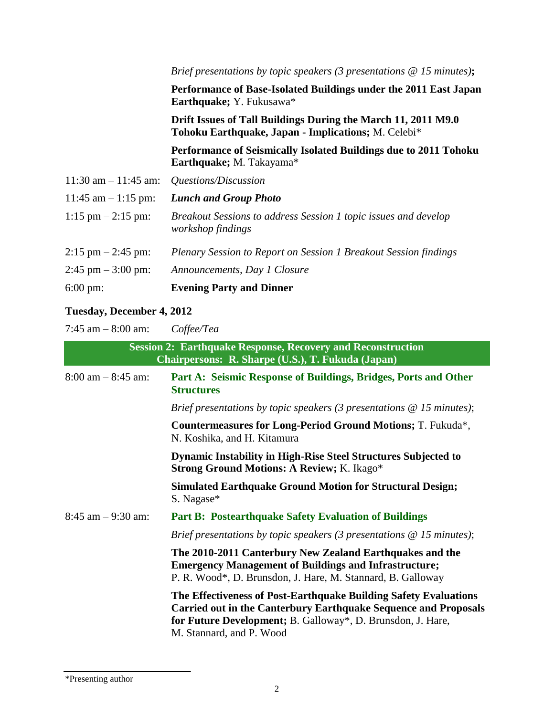|                                     | Brief presentations by topic speakers (3 presentations $@$ 15 minutes);                                              |  |
|-------------------------------------|----------------------------------------------------------------------------------------------------------------------|--|
|                                     | Performance of Base-Isolated Buildings under the 2011 East Japan<br>Earthquake; Y. Fukusawa*                         |  |
|                                     | Drift Issues of Tall Buildings During the March 11, 2011 M9.0<br>Tohoku Earthquake, Japan - Implications; M. Celebi* |  |
|                                     | Performance of Seismically Isolated Buildings due to 2011 Tohoku<br>Earthquake; M. Takayama*                         |  |
| $11:30$ am $-11:45$ am:             | Questions/Discussion                                                                                                 |  |
| $11:45$ am $-1:15$ pm:              | <b>Lunch and Group Photo</b>                                                                                         |  |
| $1:15 \text{ pm} - 2:15 \text{ pm}$ | Breakout Sessions to address Session 1 topic issues and develop<br>workshop findings                                 |  |
| $2:15 \text{ pm} - 2:45 \text{ pm}$ | Plenary Session to Report on Session 1 Breakout Session findings                                                     |  |
| $2:45$ pm $-3:00$ pm:               | Announcements, Day 1 Closure                                                                                         |  |
| $6:00 \text{ pm}$ :                 | <b>Evening Party and Dinner</b>                                                                                      |  |

# **Tuesday, December 4, 2012**

7:45 am – 8:00 am: *Coffee/Tea*

| <b>Session 2: Earthquake Response, Recovery and Reconstruction</b><br>Chairpersons: R. Sharpe (U.S.), T. Fukuda (Japan) |                                                                                                                                                                                                                                       |
|-------------------------------------------------------------------------------------------------------------------------|---------------------------------------------------------------------------------------------------------------------------------------------------------------------------------------------------------------------------------------|
| $8:00$ am $-8:45$ am:                                                                                                   | Part A: Seismic Response of Buildings, Bridges, Ports and Other<br><b>Structures</b>                                                                                                                                                  |
|                                                                                                                         | Brief presentations by topic speakers (3 presentations $@$ 15 minutes);                                                                                                                                                               |
|                                                                                                                         | Countermeasures for Long-Period Ground Motions; T. Fukuda*,<br>N. Koshika, and H. Kitamura                                                                                                                                            |
|                                                                                                                         | <b>Dynamic Instability in High-Rise Steel Structures Subjected to</b><br><b>Strong Ground Motions: A Review; K. Ikago*</b>                                                                                                            |
|                                                                                                                         | <b>Simulated Earthquake Ground Motion for Structural Design;</b><br>S. Nagase*                                                                                                                                                        |
| $8:45$ am $-9:30$ am:                                                                                                   | <b>Part B: Postearthquake Safety Evaluation of Buildings</b>                                                                                                                                                                          |
|                                                                                                                         | Brief presentations by topic speakers (3 presentations $\omega$ 15 minutes);                                                                                                                                                          |
|                                                                                                                         | The 2010-2011 Canterbury New Zealand Earthquakes and the<br><b>Emergency Management of Buildings and Infrastructure;</b><br>P. R. Wood*, D. Brunsdon, J. Hare, M. Stannard, B. Galloway                                               |
|                                                                                                                         | The Effectiveness of Post-Earthquake Building Safety Evaluations<br><b>Carried out in the Canterbury Earthquake Sequence and Proposals</b><br>for Future Development; B. Galloway*, D. Brunsdon, J. Hare,<br>M. Stannard, and P. Wood |

\*Presenting author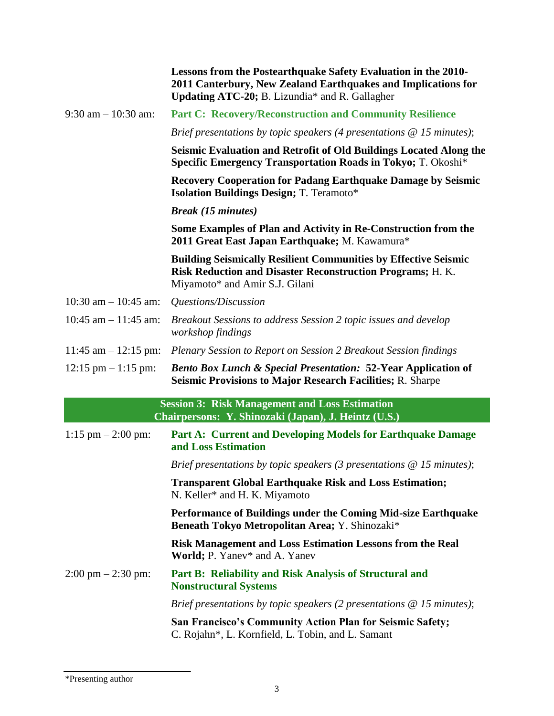|                                     | Lessons from the Postearthquake Safety Evaluation in the 2010-<br>2011 Canterbury, New Zealand Earthquakes and Implications for<br>Updating ATC-20; B. Lizundia* and R. Gallagher |
|-------------------------------------|-----------------------------------------------------------------------------------------------------------------------------------------------------------------------------------|
| $9:30$ am $-10:30$ am:              | <b>Part C: Recovery/Reconstruction and Community Resilience</b>                                                                                                                   |
|                                     | Brief presentations by topic speakers (4 presentations $\omega$ 15 minutes);                                                                                                      |
|                                     | Seismic Evaluation and Retrofit of Old Buildings Located Along the<br>Specific Emergency Transportation Roads in Tokyo; T. Okoshi*                                                |
|                                     | <b>Recovery Cooperation for Padang Earthquake Damage by Seismic</b><br><b>Isolation Buildings Design; T. Teramoto*</b>                                                            |
|                                     | <b>Break</b> (15 minutes)                                                                                                                                                         |
|                                     | Some Examples of Plan and Activity in Re-Construction from the<br>2011 Great East Japan Earthquake; M. Kawamura*                                                                  |
|                                     | <b>Building Seismically Resilient Communities by Effective Seismic</b><br><b>Risk Reduction and Disaster Reconstruction Programs; H. K.</b><br>Miyamoto* and Amir S.J. Gilani     |
| 10:30 am $-$ 10:45 am:              | Questions/Discussion                                                                                                                                                              |
| $10:45$ am $- 11:45$ am:            | Breakout Sessions to address Session 2 topic issues and develop<br>workshop findings                                                                                              |
| $11:45$ am $-12:15$ pm:             | Plenary Session to Report on Session 2 Breakout Session findings                                                                                                                  |
| $12:15$ pm $-1:15$ pm:              | <b>Bento Box Lunch &amp; Special Presentation: 52-Year Application of</b><br><b>Seismic Provisions to Major Research Facilities; R. Sharpe</b>                                    |
|                                     | <b>Session 3: Risk Management and Loss Estimation</b><br>Chairpersons: Y. Shinozaki (Japan), J. Heintz (U.S.)                                                                     |
| $1:15$ pm $- 2:00$ pm:              | Part A: Current and Developing Models for Earthquake Damage<br>and Loss Estimation                                                                                                |
|                                     | Brief presentations by topic speakers (3 presentations $@$ 15 minutes);                                                                                                           |
|                                     | <b>Transparent Global Earthquake Risk and Loss Estimation;</b><br>N. Keller* and H. K. Miyamoto                                                                                   |
|                                     | Performance of Buildings under the Coming Mid-size Earthquake<br>Beneath Tokyo Metropolitan Area; Y. Shinozaki*                                                                   |
|                                     | <b>Risk Management and Loss Estimation Lessons from the Real</b><br>World; P. Yanev* and A. Yanev                                                                                 |
| $2:00 \text{ pm} - 2:30 \text{ pm}$ | Part B: Reliability and Risk Analysis of Structural and<br><b>Nonstructural Systems</b>                                                                                           |
|                                     | Brief presentations by topic speakers (2 presentations $\omega$ 15 minutes);                                                                                                      |
|                                     | San Francisco's Community Action Plan for Seismic Safety;<br>C. Rojahn*, L. Kornfield, L. Tobin, and L. Samant                                                                    |
|                                     |                                                                                                                                                                                   |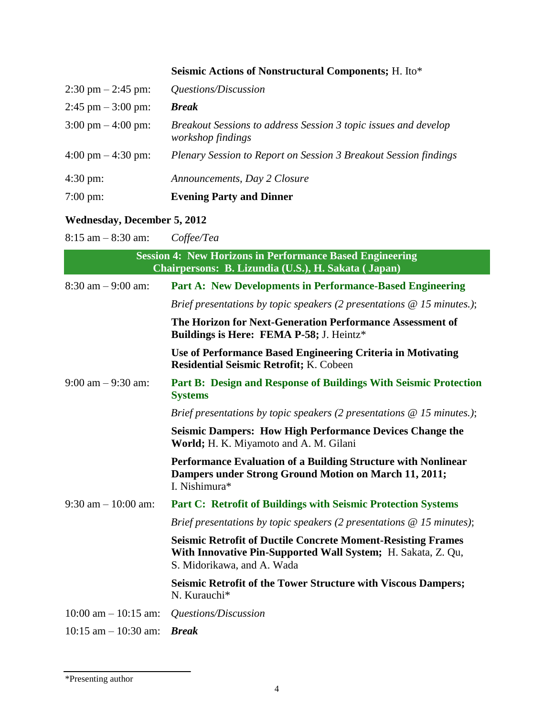## **Seismic Actions of Nonstructural Components;** H. Ito\*

| $2:30 \text{ pm} - 2:45 \text{ pm}$ | Questions/Discussion                                                                 |
|-------------------------------------|--------------------------------------------------------------------------------------|
| $2:45$ pm $-3:00$ pm:               | <b>Break</b>                                                                         |
| $3:00 \text{ pm} - 4:00 \text{ pm}$ | Breakout Sessions to address Session 3 topic issues and develop<br>workshop findings |
| $4:00 \text{ pm} - 4:30 \text{ pm}$ | Plenary Session to Report on Session 3 Breakout Session findings                     |
| $4:30 \text{ pm}$ :                 | Announcements, Day 2 Closure                                                         |
| $7:00 \text{ pm}$ :                 | <b>Evening Party and Dinner</b>                                                      |

## **Wednesday, December 5, 2012**

8:15 am – 8:30 am: *Coffee/Tea*

| <b>Session 4: New Horizons in Performance Based Engineering</b><br>Chairpersons: B. Lizundia (U.S.), H. Sakata (Japan) |                                                                                                                                                                   |
|------------------------------------------------------------------------------------------------------------------------|-------------------------------------------------------------------------------------------------------------------------------------------------------------------|
| $8:30$ am $-9:00$ am:                                                                                                  | <b>Part A: New Developments in Performance-Based Engineering</b>                                                                                                  |
|                                                                                                                        | Brief presentations by topic speakers (2 presentations $@$ 15 minutes.);                                                                                          |
|                                                                                                                        | The Horizon for Next-Generation Performance Assessment of<br>Buildings is Here: FEMA P-58; J. Heintz*                                                             |
|                                                                                                                        | Use of Performance Based Engineering Criteria in Motivating<br><b>Residential Seismic Retrofit; K. Cobeen</b>                                                     |
| $9:00$ am $-9:30$ am:                                                                                                  | Part B: Design and Response of Buildings With Seismic Protection<br><b>Systems</b>                                                                                |
|                                                                                                                        | Brief presentations by topic speakers (2 presentations $@$ 15 minutes.);                                                                                          |
|                                                                                                                        | <b>Seismic Dampers: How High Performance Devices Change the</b><br>World; H. K. Miyamoto and A. M. Gilani                                                         |
|                                                                                                                        | <b>Performance Evaluation of a Building Structure with Nonlinear</b><br>Dampers under Strong Ground Motion on March 11, 2011;<br>I. Nishimura*                    |
| $9:30$ am $-10:00$ am:                                                                                                 | <b>Part C: Retrofit of Buildings with Seismic Protection Systems</b>                                                                                              |
|                                                                                                                        | Brief presentations by topic speakers (2 presentations $\omega$ 15 minutes);                                                                                      |
|                                                                                                                        | <b>Seismic Retrofit of Ductile Concrete Moment-Resisting Frames</b><br>With Innovative Pin-Supported Wall System; H. Sakata, Z. Qu,<br>S. Midorikawa, and A. Wada |
|                                                                                                                        | <b>Seismic Retrofit of the Tower Structure with Viscous Dampers;</b><br>N. Kurauchi*                                                                              |
| $10:00$ am $-10:15$ am:                                                                                                | Questions/Discussion                                                                                                                                              |
| $10:15$ am $- 10:30$ am:                                                                                               | <b>Break</b>                                                                                                                                                      |